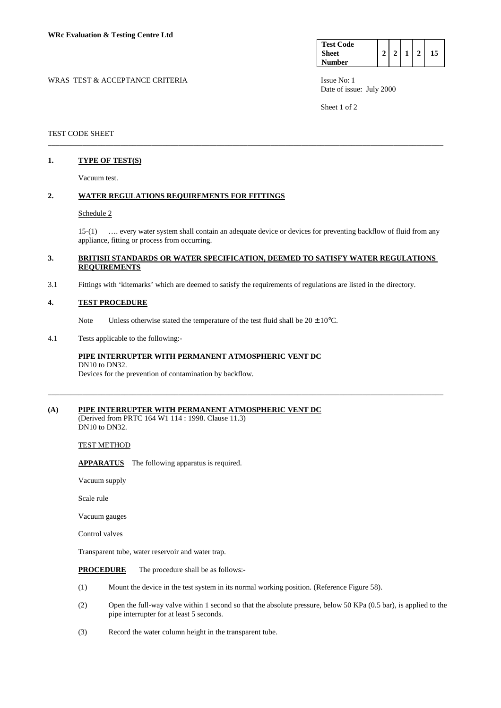| <b>Test Code</b> |  |  |  |
|------------------|--|--|--|
| <b>Sheet</b>     |  |  |  |
| <b>Number</b>    |  |  |  |

WRAS TEST & ACCEPTANCE CRITERIA ISSUE No: 1 Date of issue: July 2000

Sheet 1 of 2

### TEST CODE SHEET

### **1. TYPE OF TEST(S)**

Vacuum test.

### **2. WATER REGULATIONS REQUIREMENTS FOR FITTINGS**

#### Schedule 2

 15-(1) …. every water system shall contain an adequate device or devices for preventing backflow of fluid from any appliance, fitting or process from occurring.

### **3. BRITISH STANDARDS OR WATER SPECIFICATION, DEEMED TO SATISFY WATER REGULATIONS REQUIREMENTS**

\_\_\_\_\_\_\_\_\_\_\_\_\_\_\_\_\_\_\_\_\_\_\_\_\_\_\_\_\_\_\_\_\_\_\_\_\_\_\_\_\_\_\_\_\_\_\_\_\_\_\_\_\_\_\_\_\_\_\_\_\_\_\_\_\_\_\_\_\_\_\_\_\_\_\_\_\_\_\_\_\_\_\_\_\_\_\_\_\_\_\_\_\_\_\_\_\_\_\_\_\_\_\_

\_\_\_\_\_\_\_\_\_\_\_\_\_\_\_\_\_\_\_\_\_\_\_\_\_\_\_\_\_\_\_\_\_\_\_\_\_\_\_\_\_\_\_\_\_\_\_\_\_\_\_\_\_\_\_\_\_\_\_\_\_\_\_\_\_\_\_\_\_\_\_\_\_\_\_\_\_\_\_\_\_\_\_\_\_\_\_\_\_\_\_\_\_\_\_\_\_\_\_\_\_\_\_

3.1 Fittings with 'kitemarks' which are deemed to satisfy the requirements of regulations are listed in the directory.

### **4. TEST PROCEDURE**

Note Unless otherwise stated the temperature of the test fluid shall be  $20 \pm 10^{\circ}$ C.

### 4.1 Tests applicable to the following:-

## **PIPE INTERRUPTER WITH PERMANENT ATMOSPHERIC VENT DC**  DN10 to DN32.

Devices for the prevention of contamination by backflow.

### **(A) PIPE INTERRUPTER WITH PERMANENT ATMOSPHERIC VENT DC**

(Derived from PRTC 164 W1 114 : 1998. Clause 11.3) DN10 to DN32.

#### TEST METHOD

**APPARATUS** The following apparatus is required.

Vacuum supply

Scale rule

Vacuum gauges

Control valves

Transparent tube, water reservoir and water trap.

**PROCEDURE** The procedure shall be as follows:-

- (1) Mount the device in the test system in its normal working position. (Reference Figure 58).
- (2) Open the full-way valve within 1 second so that the absolute pressure, below 50 KPa (0.5 bar), is applied to the pipe interrupter for at least 5 seconds.
- (3) Record the water column height in the transparent tube.